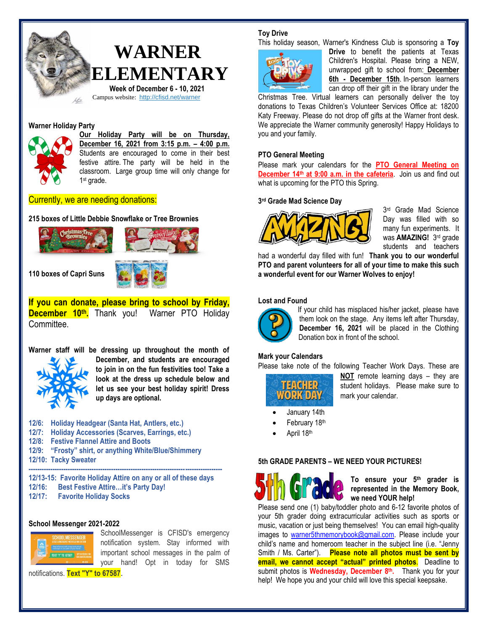

#### **Warner Holiday Party**



**Our Holiday Party will be on Thursday, December 16, 2021 from 3:15 p.m. – 4:00 p.m.**  Students are encouraged to come in their best festive attire. The party will be held in the classroom. Large group time will only change for 1 st grade.

Currently, we are needing donations:

**215 boxes of Little Debbie Snowflake or Tree Brownies**



**If you can donate, please bring to school by Friday, December 10th.** Thank you! Warner PTO Holiday Committee.

**Warner staff will be dressing up throughout the month of December, and students are encouraged to join in on the fun festivities too! Take a look at the dress up schedule below and let us see your best holiday spirit! Dress up days are optional.**

| 12/6: Holiday Headgear (Santa Hat, Antlers, etc.)     |
|-------------------------------------------------------|
| 12/7: Holiday Accessories (Scarves, Earrings, etc.)   |
| 12/8: Festive Flannel Attire and Boots                |
| 12/9: "Frosty" shirt, or anything White/Blue/Shimmery |
| 12/10: Tacky Sweater                                  |
|                                                       |

**12/13-15: Favorite Holiday Attire on any or all of these days 12/16: Best Festive Attire…it's Party Day! 12/17: Favorite Holiday Socks**

#### **School Messenger 2021-2022** SchoolMessenger is CFISD's emergency



notification system. Stay informed with important school messages in the palm of your hand! Opt in today for SMS

notifications. **Text "Y" to 67587**.

## **Toy Drive**

This holiday season, Warner's Kindness Club is sponsoring a **Toy** 



**Drive** to benefit the patients at Texas Children's Hospital. Please bring a NEW, unwrapped gift to school from: **December 6th - December 15th**. In-person learners can drop off their gift in the library under the

Christmas Tree. Virtual learners can personally deliver the toy donations to Texas Children's Volunteer Services Office at: 18200 Katy Freeway. Please do not drop off gifts at the Warner front desk. We appreciate the Warner community generosity! Happy Holidays to you and your family.

#### **PTO General Meeting**

Please mark your calendars for the **PTO General Meeting on December 14th at 9:00 a.m. in the cafeteria**. Join us and find out what is upcoming for the PTO this Spring.

#### **3 rd Grade Mad Science Day**



3 rd Grade Mad Science Day was filled with so many fun experiments. It was **AMAZING!** 3<sup>rd</sup> grade students and teachers

had a wonderful day filled with fun! **Thank you to our wonderful PTO and parent volunteers for all of your time to make this such a wonderful event for our Warner Wolves to enjoy!**

#### **Lost and Found**



If your child has misplaced his/her jacket, please have them look on the stage. Any items left after Thursday, **December 16, 2021** will be placed in the Clothing Donation box in front of the school.

#### **Mark your Calendars**

Please take note of the following Teacher Work Days. These are

TEACHER-WORK DAY **NOT** remote learning days – they are student holidays. Please make sure to mark your calendar.

- January 14th
- February 18th
- April 18th

### **5th GRADE PARENTS – WE NEED YOUR PICTURES!**



**To ensure your 5th grader is represented in the Memory Book, we need YOUR help!** 

Please send one (1) baby/toddler photo and 6-12 favorite photos of your 5th grader doing extracurricular activities such as sports or music, vacation or just being themselves! You can email high-quality images to [warner5thmemorybook@gmail.com.](mailto:warner5thmemorybook@gmail.com) Please include your child's name and homeroom teacher in the subject line (i.e. "Jenny Smith / Ms. Carter"). **Please note all photos must be sent by email, we cannot accept "actual" printed photos**. Deadline to submit photos is **Wednesday, December 8 th .** Thank you for your help! We hope you and your child will love this special keepsake.